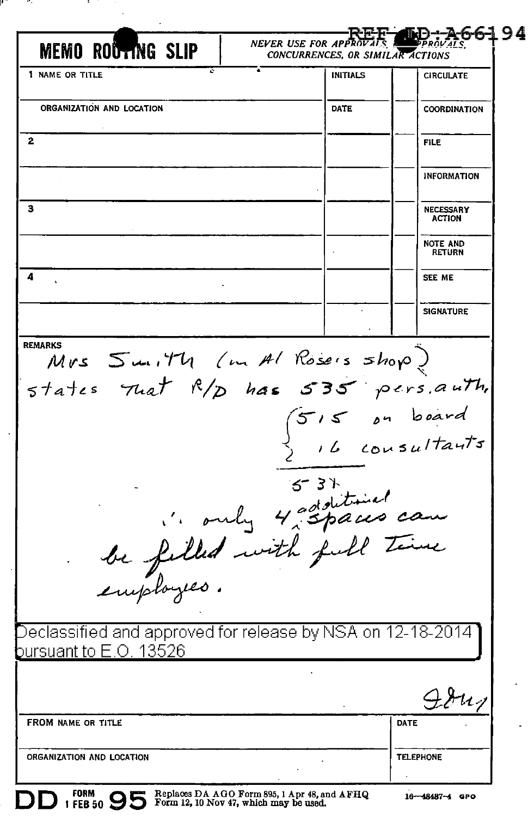| <b>MEMO ROUTING SLIP</b>                                                                      |                              | <b>NEVER USE FOR APPROVALS</b><br>CONCURRENCES, OR SIMILAR ACTIONS | DD:A66194                          |
|-----------------------------------------------------------------------------------------------|------------------------------|--------------------------------------------------------------------|------------------------------------|
| 1 NAME OR TITLE                                                                               |                              | INITIALS                                                           | <b>CIRCULATE</b>                   |
| ORGANIZATION AND LOCATION                                                                     |                              | DATE                                                               | COORDINATION                       |
| 2                                                                                             |                              |                                                                    | <b>FILE</b>                        |
|                                                                                               |                              |                                                                    | <b>INFORMATION</b>                 |
| з                                                                                             |                              |                                                                    | <b>NECESSARY</b><br><b>ACTION</b>  |
|                                                                                               |                              |                                                                    | <b>NOTE AND</b><br><b>RETURN</b>   |
| 4                                                                                             |                              |                                                                    | SEE ME                             |
|                                                                                               |                              |                                                                    | <b>SIGNATURE</b>                   |
| states That $R/p$ has 535 pers. auth,                                                         | Mrs Smith (m Al Rosers shop) |                                                                    |                                    |
| be filled with full time<br>be filled with full time<br>employes.                             |                              | $5 - 3 +$                                                          | $515$ on board<br>) il consultants |
| Declassified and approved for release by NSA on 12-18-2014 I<br><u>bursuant to E.O. 13526</u> |                              |                                                                    |                                    |
|                                                                                               |                              |                                                                    | $\lambda u_7$                      |
| FROM NAME OR TITLE                                                                            |                              |                                                                    | DATE                               |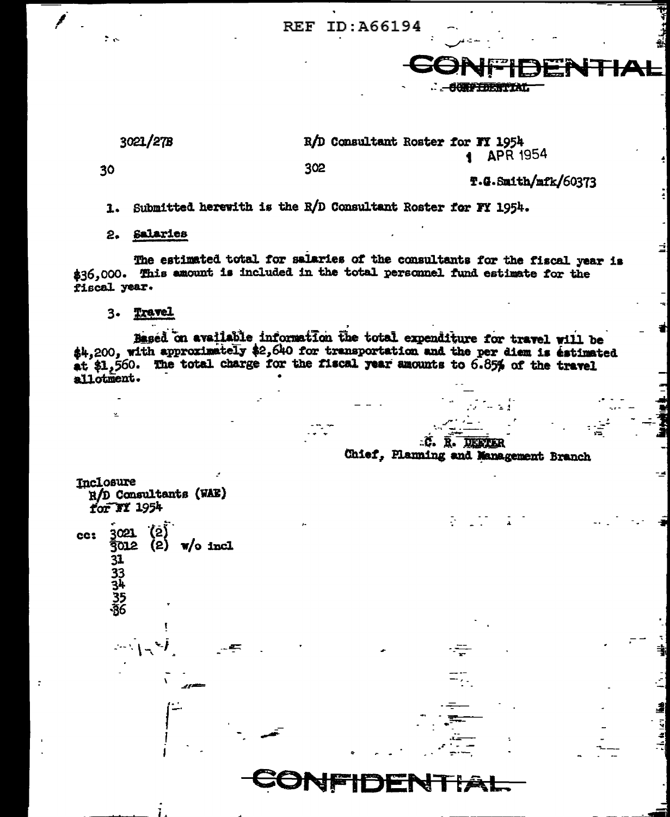**REF** ID:A66194



30

e e

302

T.G.Smith/mfk/60373

Submitted herewith is the R/D Consultant Roster for FY 1954.  $\mathbf{I}$ .

2. Salaries

The estimated total for salaries of the consultants for the fiscal year is \$36,000. This amount is included in the total personnel fund estimate for the fiscal year.

3. Travel

Based on available information the total expenditure for travel will be \$4,200, with approximately \$2,640 for transportation and the per diem is estimated at \$1,560. The total charge for the fiscal year amounts to 6.85% of the travel allotment.

.C. R. DEFTER Chief, Planning and Management Branch

| Inclosure<br>$R/D$ Consultants (WAE)<br>for $M$ 1954                                        |  |
|---------------------------------------------------------------------------------------------|--|
| $\overline{ }$<br>$\binom{2}{2}$<br>3021<br>cc:<br>$\sqrt{ }$ o incl<br>3012<br>31 33 4 556 |  |
| $\omega_{\rm{max}}$                                                                         |  |
| ---                                                                                         |  |
| $\cdots$                                                                                    |  |
|                                                                                             |  |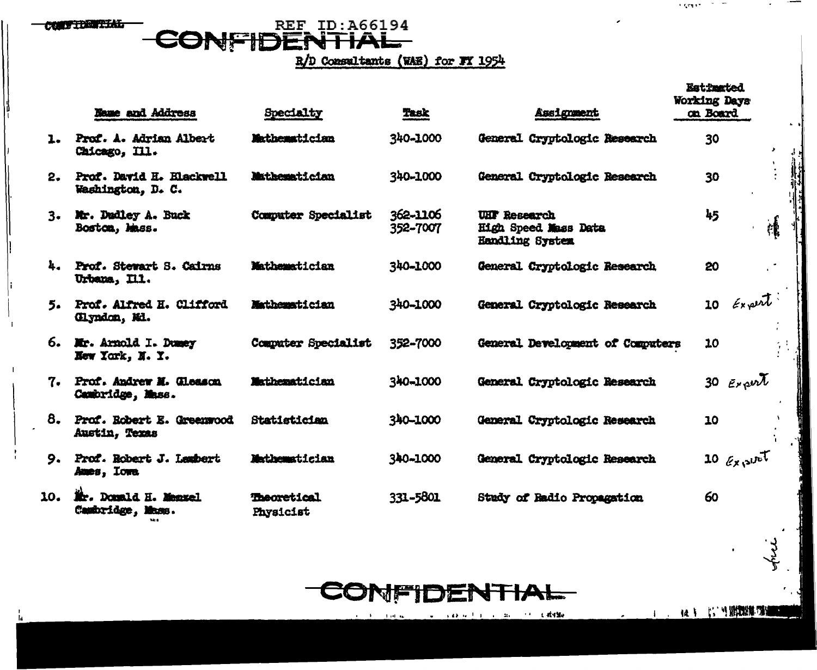**CONFIDENTIAL** 

## CONFIDENTIAL

R/D Consultants (WAE) for FY 1954

|     | Name and Address                               | Specialty                       | <b>Task</b>          | Assignment                                                     | <b>Estimated</b><br>Working Days<br>on Board |
|-----|------------------------------------------------|---------------------------------|----------------------|----------------------------------------------------------------|----------------------------------------------|
|     | 1. Prof. A. Adrian Albert<br>Chicago, Ill.     | Mathematician                   | 340-1000             | General Cryptologic Research                                   | 30                                           |
| 2.  | Prof. David H. Elackwell<br>Washington, D. C.  | Mathematician                   | 340-1000             | General Cryptologic Research                                   | 30                                           |
|     | 3. Mr. Dadley A. Buck<br>Boston, Mass.         | Computer Specialist             | 362-1106<br>352-7007 | <b>UHF</b> Research<br>High Speed Mass Data<br>Handling System | 45<br>檙                                      |
|     | 4. Prof. Stewart S. Cairns<br>Urbana, Ill.     | Mathematician                   | 340-1000             | General Cryptologic Research                                   | 20                                           |
|     | 5. Prof. Alfred H. Clifford<br>(Ilyndon, Mi.   | Mathematician                   | 340-1000             | General Cryptologic Research                                   | $10$ Expert                                  |
|     | 6. Mr. Arnold I. Dumey<br>New York, N.Y.       | Computer Specialist             | 352-7000             | General Development of Computers                               | 10                                           |
|     | 7. Prof. Andrew M. Glesson<br>Cambridge, Mass. | Mathematician                   | 340-1000             | General Cryptologic Research                                   | 30 $E_{Y}$ and                               |
|     | 8. Prof. Robert E. Greenwood<br>Austin, Texas  | Statistician                    | 340-1000             | General Cryptologic Research                                   | 10                                           |
| 9.  | Prof. Robert J. Lembert<br>Ames, Iowa          | Mathematician                   | 340-1000             | General Cryptologic Research                                   | 10 $\ell_{\chi}$ site                        |
| 10. | Mr. Donald H. Manxel<br>Cambridge, Mass.       | <b>Theoretical</b><br>Physicist | 331-5801             | Study of Radio Propagation                                     | 60                                           |



and a kind of the company of the distribution  $\alpha=1$  , and  $\alpha$ 

 $\sim 10^{-11}$ 

 $\lambda$  graves  $\lambda$  ,  $\lambda$  ,  $\lambda$